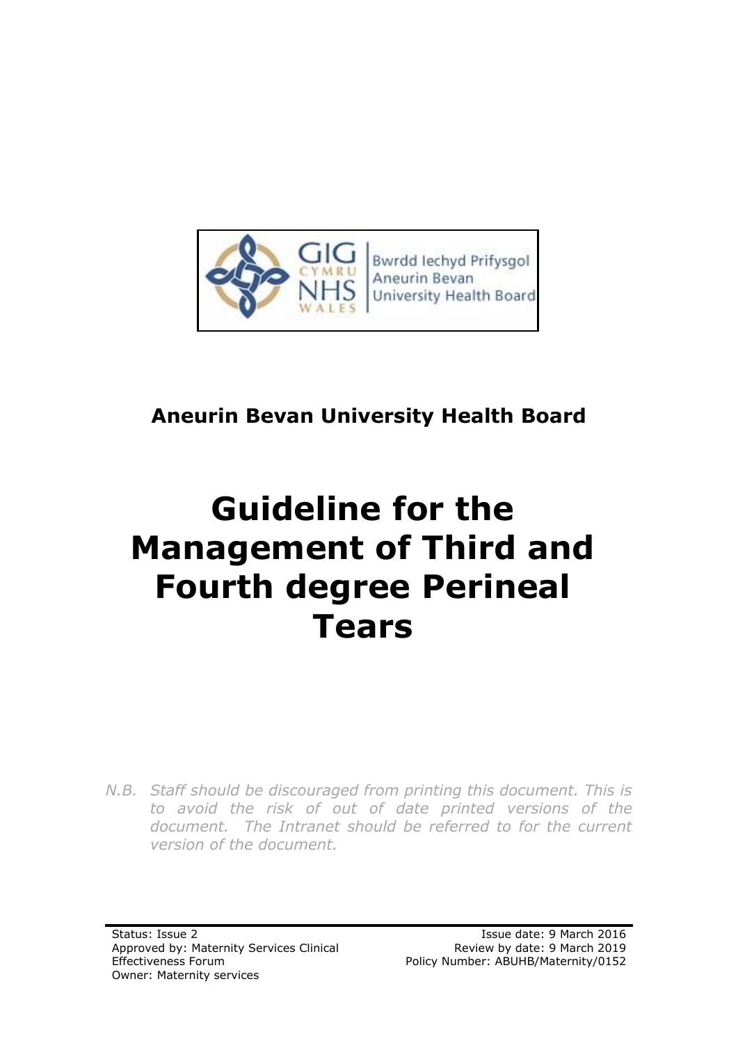

### **Aneurin Bevan University Health Board**

# **Guideline for the Management of Third and Fourth degree Perineal Tears**

*N.B. Staff should be discouraged from printing this document. This is to avoid the risk of out of date printed versions of the document. The Intranet should be referred to for the current version of the document.*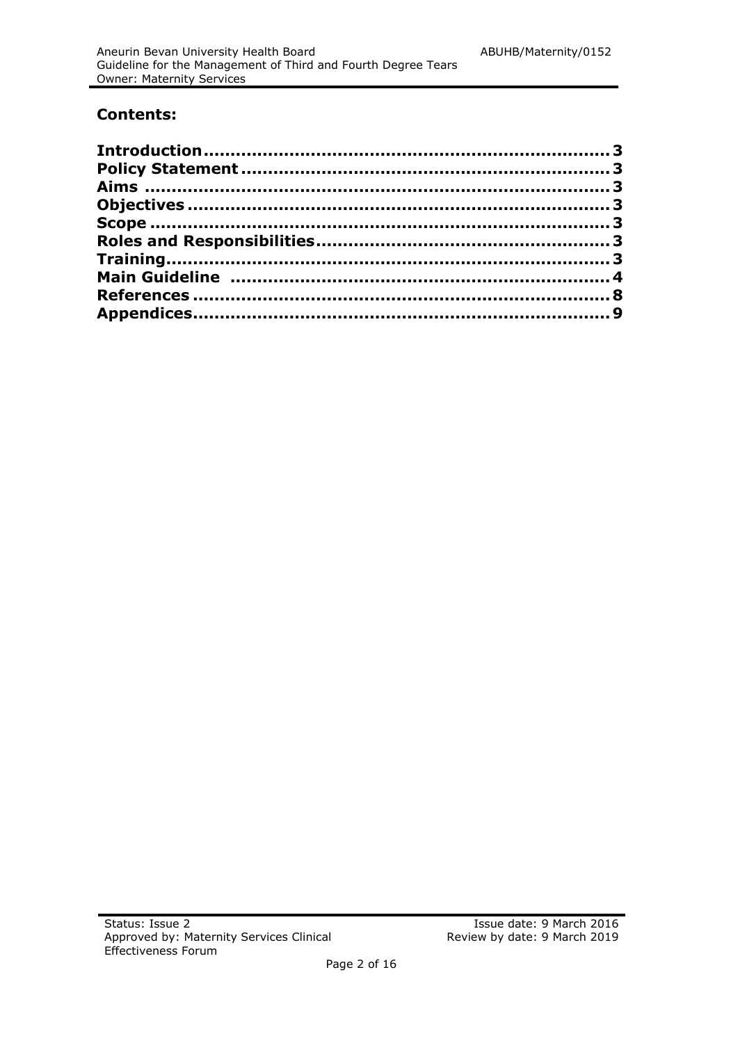#### **Contents:**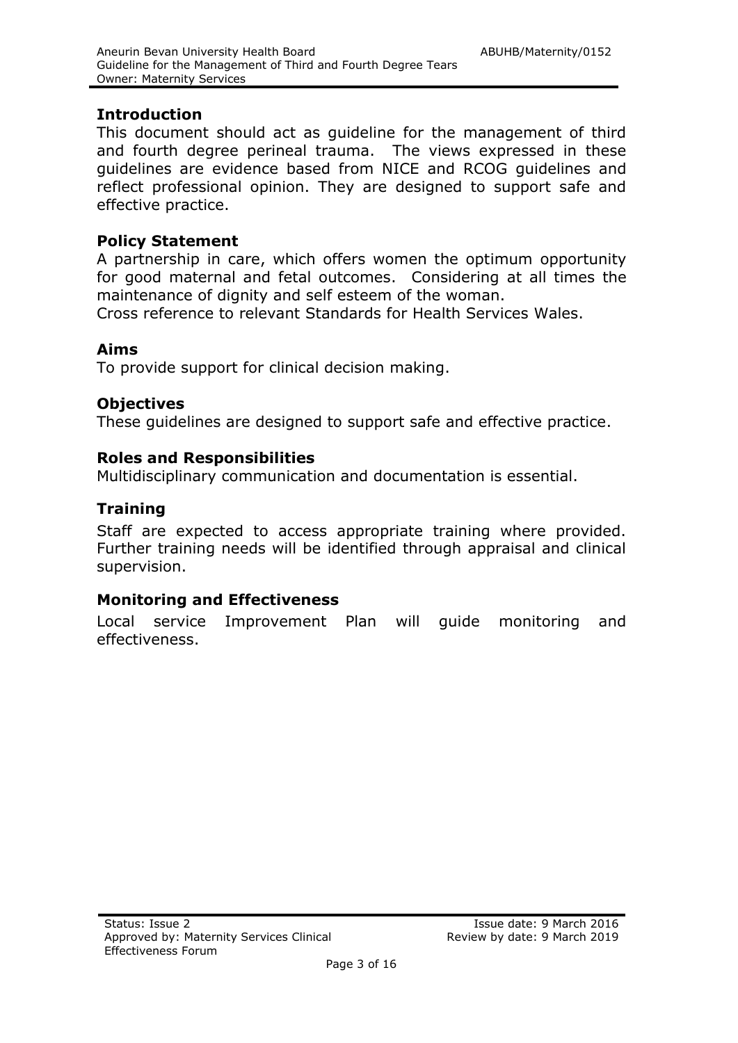#### <span id="page-2-0"></span>**Introduction**

This document should act as guideline for the management of third and fourth degree perineal trauma. The views expressed in these guidelines are evidence based from NICE and RCOG guidelines and reflect professional opinion. They are designed to support safe and effective practice.

#### <span id="page-2-1"></span>**Policy Statement**

A partnership in care, which offers women the optimum opportunity for good maternal and fetal outcomes. Considering at all times the maintenance of dignity and self esteem of the woman.

Cross reference to relevant Standards for Health Services Wales.

#### <span id="page-2-2"></span>**Aims**

To provide support for clinical decision making.

#### <span id="page-2-3"></span>**Objectives**

These guidelines are designed to support safe and effective practice.

#### <span id="page-2-4"></span>**Roles and Responsibilities**

Multidisciplinary communication and documentation is essential.

### **Training**

Staff are expected to access appropriate training where provided. Further training needs will be identified through appraisal and clinical supervision.

### **Monitoring and Effectiveness**

Local service Improvement Plan will guide monitoring and effectiveness.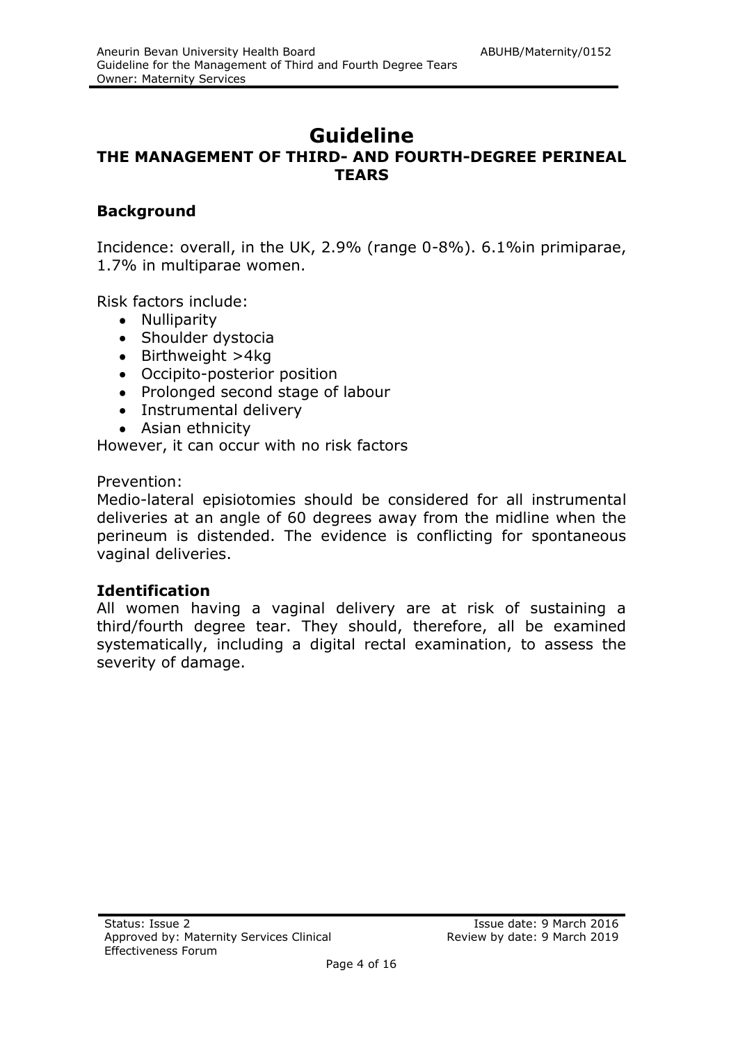### **Guideline THE MANAGEMENT OF THIRD- AND FOURTH-DEGREE PERINEAL TEARS**

#### **Background**

Incidence: overall, in the UK, 2.9% (range 0-8%). 6.1%in primiparae, 1.7% in multiparae women.

Risk factors include:

- Nulliparity
- Shoulder dystocia
- $\bullet$  Birthweight >4kg
- Occipito-posterior position
- Prolonged second stage of labour
- Instrumental delivery
- Asian ethnicity

However, it can occur with no risk factors

Prevention:

Medio-lateral episiotomies should be considered for all instrumental deliveries at an angle of 60 degrees away from the midline when the perineum is distended. The evidence is conflicting for spontaneous vaginal deliveries.

#### **Identification**

All women having a vaginal delivery are at risk of sustaining a third/fourth degree tear. They should, therefore, all be examined systematically, including a digital rectal examination, to assess the severity of damage.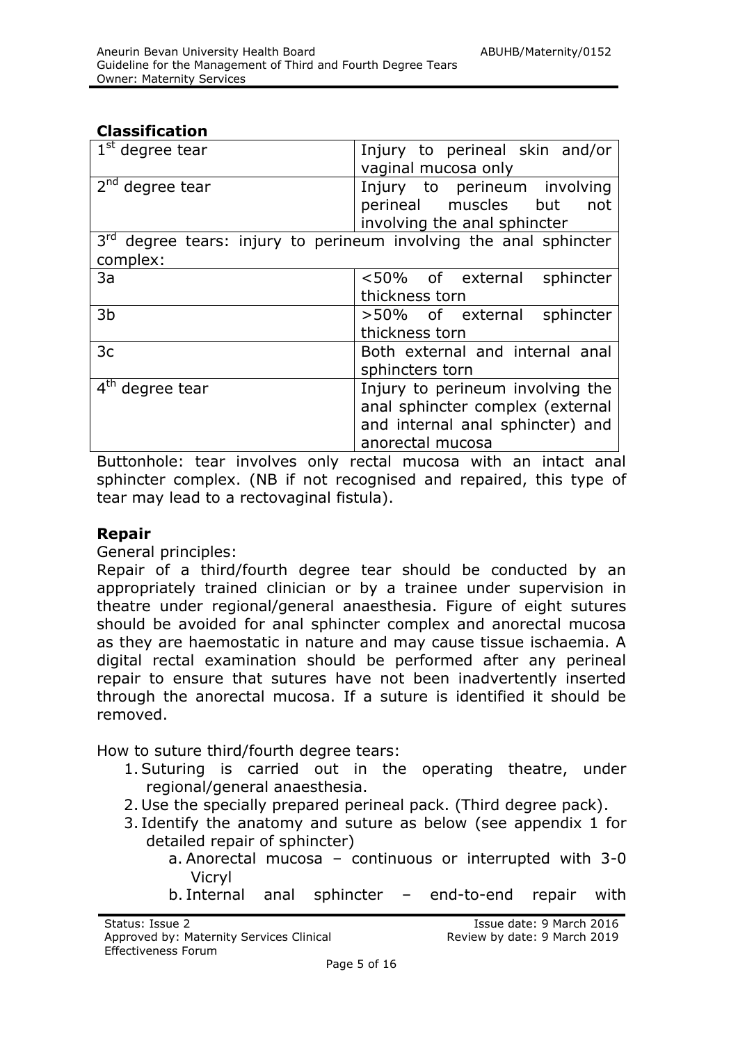#### **Classification**

| $1st$ degree tear                                                                         | Injury to perineal skin and/or<br>vaginal mucosa only                                                                        |  |  |  |  |  |
|-------------------------------------------------------------------------------------------|------------------------------------------------------------------------------------------------------------------------------|--|--|--|--|--|
| $2nd$ degree tear                                                                         | Injury to perineum involving<br>perineal muscles but<br>not<br>involving the anal sphincter                                  |  |  |  |  |  |
| 3 <sup>rd</sup> degree tears: injury to perineum involving the anal sphincter<br>complex: |                                                                                                                              |  |  |  |  |  |
| 3a                                                                                        | <50% of external sphincter<br>thickness torn                                                                                 |  |  |  |  |  |
| 3b                                                                                        | >50% of external sphincter<br>thickness torn                                                                                 |  |  |  |  |  |
| 3c                                                                                        | Both external and internal anal<br>sphincters torn                                                                           |  |  |  |  |  |
| $4th$ degree tear                                                                         | Injury to perineum involving the<br>anal sphincter complex (external<br>and internal anal sphincter) and<br>anorectal mucosa |  |  |  |  |  |

Buttonhole: tear involves only rectal mucosa with an intact anal sphincter complex. (NB if not recognised and repaired, this type of tear may lead to a rectovaginal fistula).

#### **Repair**

General principles:

Repair of a third/fourth degree tear should be conducted by an appropriately trained clinician or by a trainee under supervision in theatre under regional/general anaesthesia. Figure of eight sutures should be avoided for anal sphincter complex and anorectal mucosa as they are haemostatic in nature and may cause tissue ischaemia. A digital rectal examination should be performed after any perineal repair to ensure that sutures have not been inadvertently inserted through the anorectal mucosa. If a suture is identified it should be removed.

How to suture third/fourth degree tears:

- 1.Suturing is carried out in the operating theatre, under regional/general anaesthesia.
- 2. Use the specially prepared perineal pack. (Third degree pack).
- 3. Identify the anatomy and suture as below (see appendix 1 for detailed repair of sphincter)
	- a. Anorectal mucosa continuous or interrupted with 3-0 Vicryl
	- b. Internal anal sphincter end-to-end repair with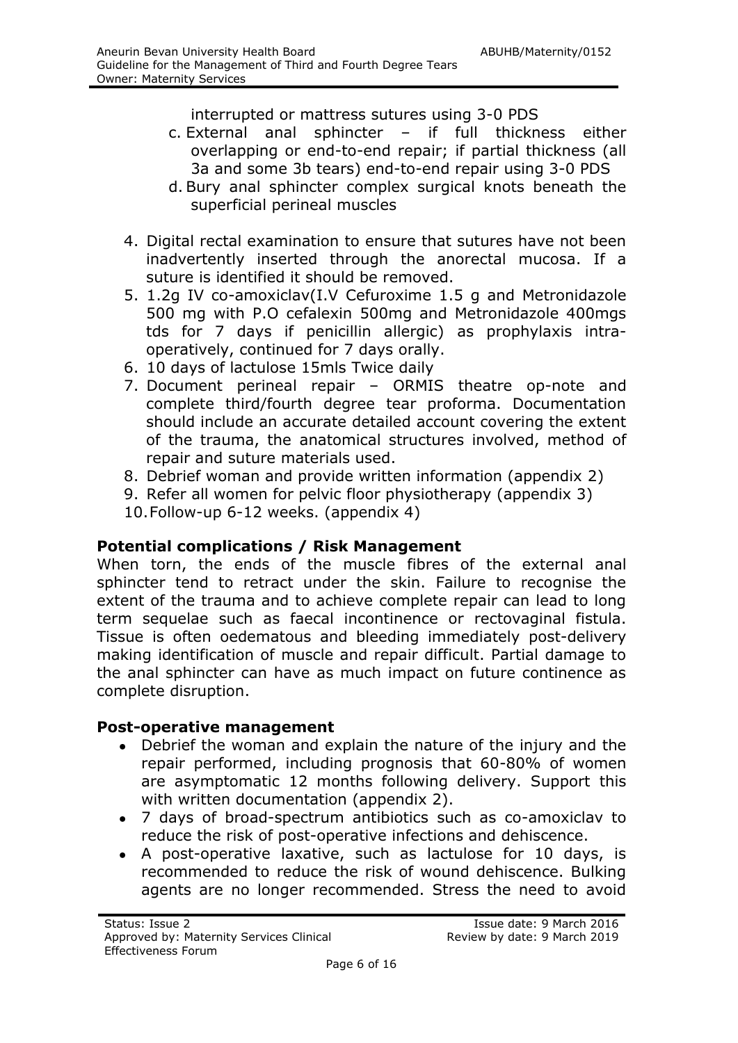interrupted or mattress sutures using 3-0 PDS

- c. External anal sphincter if full thickness either overlapping or end-to-end repair; if partial thickness (all 3a and some 3b tears) end-to-end repair using 3-0 PDS
- d. Bury anal sphincter complex surgical knots beneath the superficial perineal muscles
- 4. Digital rectal examination to ensure that sutures have not been inadvertently inserted through the anorectal mucosa. If a suture is identified it should be removed.
- 5. 1.2g IV co-amoxiclav(I.V Cefuroxime 1.5 g and Metronidazole 500 mg with P.O cefalexin 500mg and Metronidazole 400mgs tds for 7 days if penicillin allergic) as prophylaxis intraoperatively, continued for 7 days orally.
- 6. 10 days of lactulose 15mls Twice daily
- 7. Document perineal repair ORMIS theatre op-note and complete third/fourth degree tear proforma. Documentation should include an accurate detailed account covering the extent of the trauma, the anatomical structures involved, method of repair and suture materials used.
- 8. Debrief woman and provide written information (appendix 2)
- 9. Refer all women for pelvic floor physiotherapy (appendix 3)
- 10.Follow-up 6-12 weeks. (appendix 4)

### **Potential complications / Risk Management**

When torn, the ends of the muscle fibres of the external anal sphincter tend to retract under the skin. Failure to recognise the extent of the trauma and to achieve complete repair can lead to long term sequelae such as faecal incontinence or rectovaginal fistula. Tissue is often oedematous and bleeding immediately post-delivery making identification of muscle and repair difficult. Partial damage to the anal sphincter can have as much impact on future continence as complete disruption.

#### **Post-operative management**

- Debrief the woman and explain the nature of the injury and the  $\bullet$ repair performed, including prognosis that 60-80% of women are asymptomatic 12 months following delivery. Support this with written documentation (appendix 2).
- 7 days of broad-spectrum antibiotics such as co-amoxiclav to reduce the risk of post-operative infections and dehiscence.
- A post-operative laxative, such as lactulose for 10 days, is recommended to reduce the risk of wound dehiscence. Bulking agents are no longer recommended. Stress the need to avoid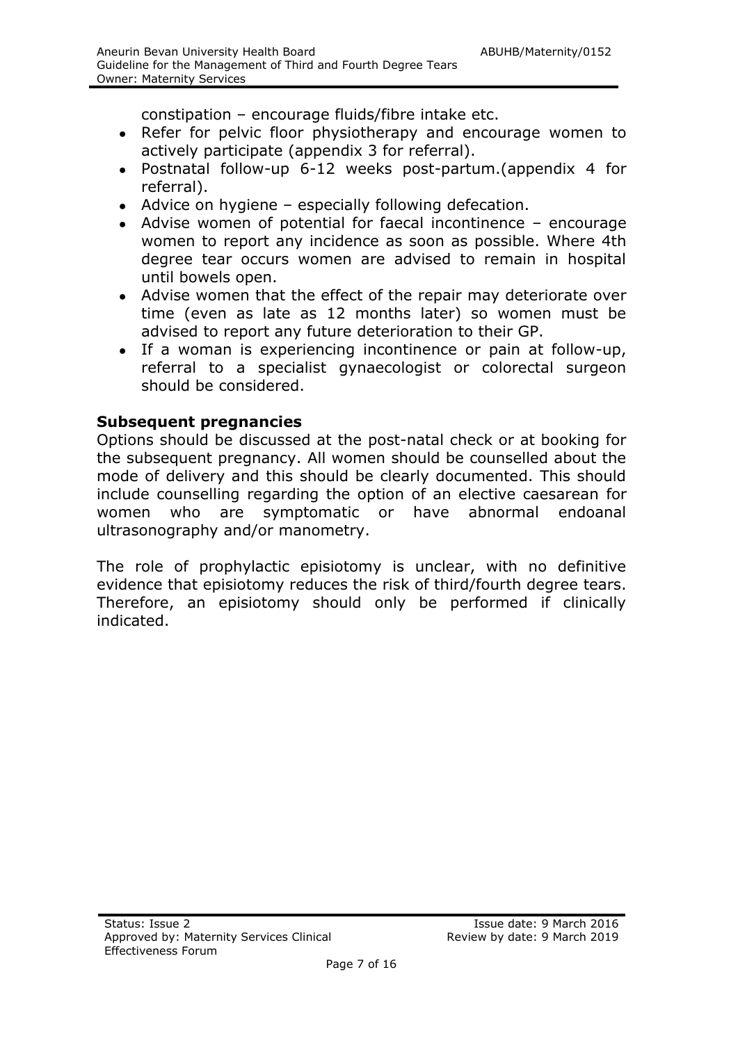constipation – encourage fluids/fibre intake etc.

- Refer for pelvic floor physiotherapy and encourage women to actively participate (appendix 3 for referral).
- Postnatal follow-up 6-12 weeks post-partum.(appendix 4 for referral).
- Advice on hygiene especially following defecation.
- Advise women of potential for faecal incontinence encourage women to report any incidence as soon as possible. Where 4th degree tear occurs women are advised to remain in hospital until bowels open.
- Advise women that the effect of the repair may deteriorate over time (even as late as 12 months later) so women must be advised to report any future deterioration to their GP.
- If a woman is experiencing incontinence or pain at follow-up, referral to a specialist gynaecologist or colorectal surgeon should be considered.

#### **Subsequent pregnancies**

Options should be discussed at the post-natal check or at booking for the subsequent pregnancy. All women should be counselled about the mode of delivery and this should be clearly documented. This should include counselling regarding the option of an elective caesarean for women who are symptomatic or have abnormal endoanal ultrasonography and/or manometry.

The role of prophylactic episiotomy is unclear, with no definitive evidence that episiotomy reduces the risk of third/fourth degree tears. Therefore, an episiotomy should only be performed if clinically indicated.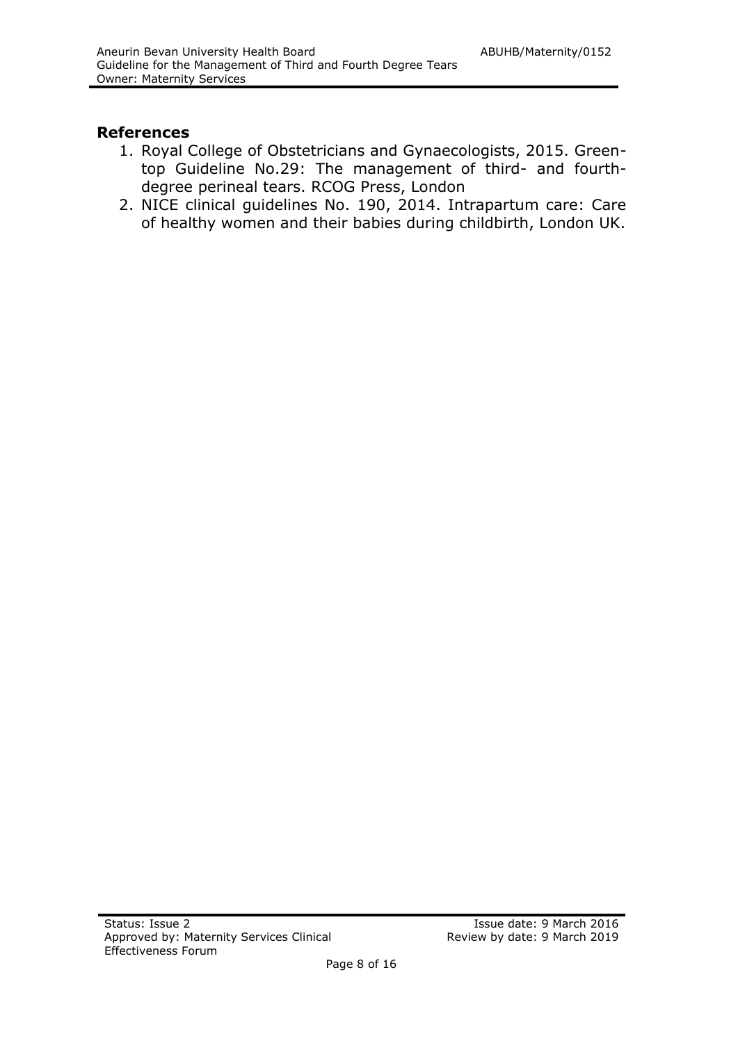#### **References**

- 1. Royal College of Obstetricians and Gynaecologists, 2015. Greentop Guideline No.29: The management of third- and fourthdegree perineal tears. RCOG Press, London
- 2. NICE clinical guidelines No. 190, 2014. Intrapartum care: Care of healthy women and their babies during childbirth, London UK.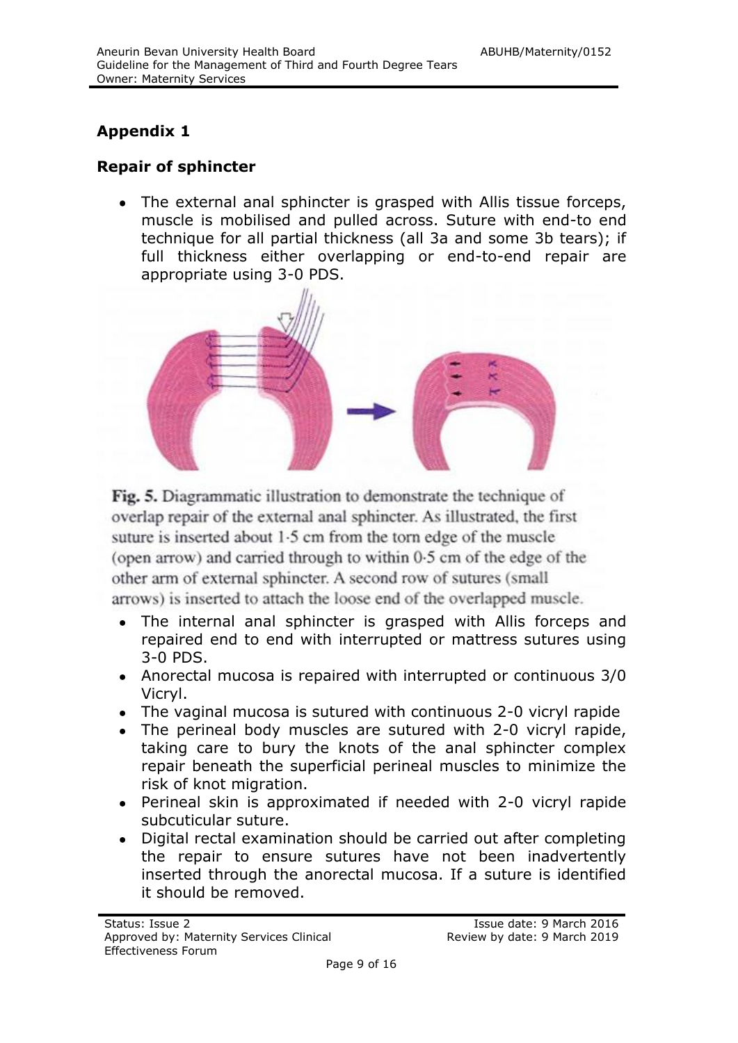### **Appendix 1**

### **Repair of sphincter**

The external anal sphincter is grasped with Allis tissue forceps, muscle is mobilised and pulled across. Suture with end-to end technique for all partial thickness (all 3a and some 3b tears); if full thickness either overlapping or end-to-end repair are appropriate using 3-0 PDS.



Fig. 5. Diagrammatic illustration to demonstrate the technique of overlap repair of the external anal sphincter. As illustrated, the first suture is inserted about 1.5 cm from the torn edge of the muscle (open arrow) and carried through to within 0.5 cm of the edge of the other arm of external sphincter. A second row of sutures (small arrows) is inserted to attach the loose end of the overlapped muscle.

- The internal anal sphincter is grasped with Allis forceps and repaired end to end with interrupted or mattress sutures using 3-0 PDS.
- Anorectal mucosa is repaired with interrupted or continuous 3/0 Vicryl.
- The vaginal mucosa is sutured with continuous 2-0 vicryl rapide
- The perineal body muscles are sutured with 2-0 vicryl rapide, taking care to bury the knots of the anal sphincter complex repair beneath the superficial perineal muscles to minimize the risk of knot migration.
- Perineal skin is approximated if needed with 2-0 vicryl rapide subcuticular suture.
- Digital rectal examination should be carried out after completing the repair to ensure sutures have not been inadvertently inserted through the anorectal mucosa. If a suture is identified it should be removed.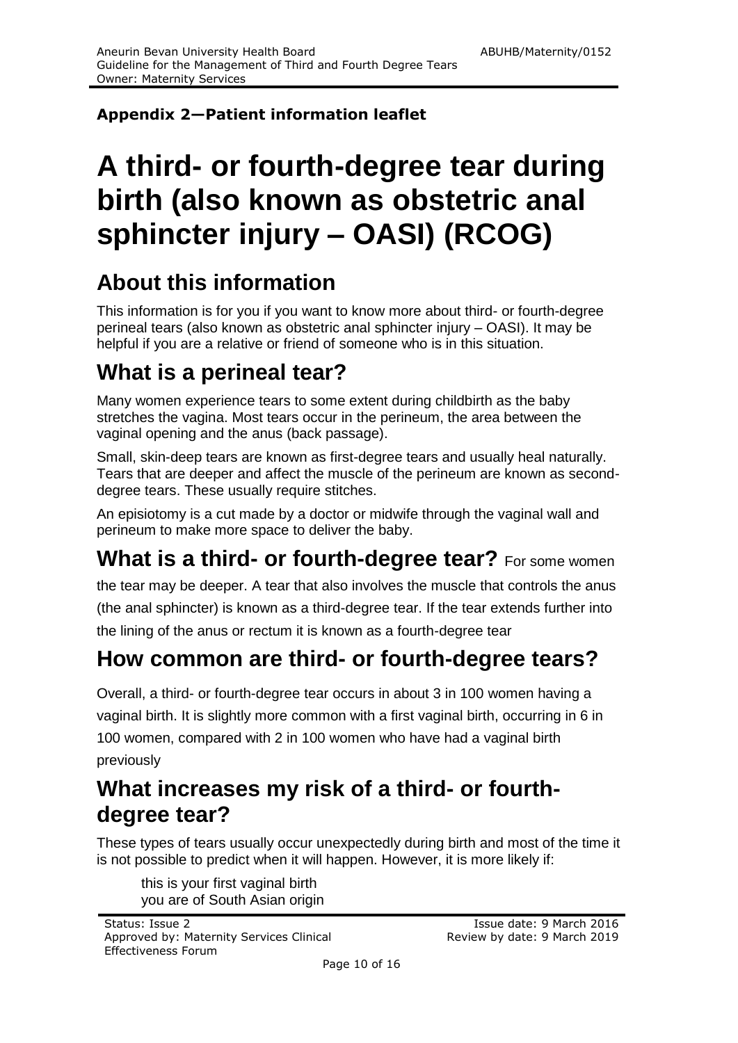### **Appendix 2—Patient information leaflet**

## **A third- or fourth-degree tear during birth (also known as obstetric anal sphincter injury – OASI) (RCOG)**

### **About this information**

This information is for you if you want to know more about third- or fourth-degree perineal tears (also known as obstetric anal sphincter injury – OASI). It may be helpful if you are a relative or friend of someone who is in this situation.

### **What is a perineal tear?**

Many women experience tears to some extent during childbirth as the baby stretches the vagina. Most tears occur in the perineum, the area between the vaginal opening and the anus (back passage).

Small, skin-deep tears are known as first-degree tears and usually heal naturally. Tears that are deeper and affect the muscle of the perineum are known as seconddegree tears. These usually require stitches.

An episiotomy is a cut made by a doctor or midwife through the vaginal wall and perineum to make more space to deliver the baby.

### **What is a third- or fourth-degree tear?** For some women

the tear may be deeper. A tear that also involves the muscle that controls the anus (the anal sphincter) is known as a third-degree tear. If the tear extends further into the lining of the anus or rectum it is known as a fourth-degree tear

### **How common are third- or fourth-degree tears?**

Overall, a third- or fourth-degree tear occurs in about 3 in 100 women having a vaginal birth. It is slightly more common with a first vaginal birth, occurring in 6 in 100 women, compared with 2 in 100 women who have had a vaginal birth previously

### **What increases my risk of a third- or fourthdegree tear?**

These types of tears usually occur unexpectedly during birth and most of the time it is not possible to predict when it will happen. However, it is more likely if:

this is your first vaginal birth you are of South Asian origin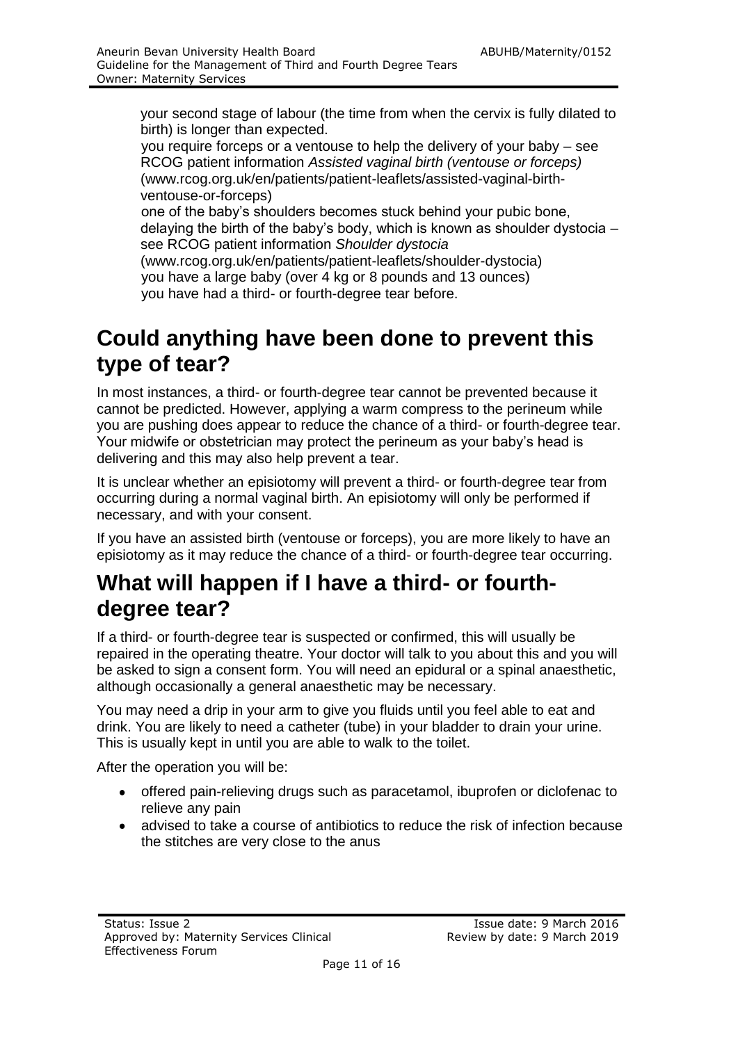your second stage of labour (the time from when the cervix is fully dilated to birth) is longer than expected.

you require forceps or a ventouse to help the delivery of your baby – see RCOG patient information *Assisted vaginal birth (ventouse or forceps)*  (www.rcog.org.uk/en/patients/patient-leaflets/assisted-vaginal-birthventouse-or-forceps)

one of the baby's shoulders becomes stuck behind your pubic bone, delaying the birth of the baby's body, which is known as shoulder dystocia – see RCOG patient information *Shoulder dystocia* 

(www.rcog.org.uk/en/patients/patient-leaflets/shoulder-dystocia) you have a large baby (over 4 kg or 8 pounds and 13 ounces) you have had a third- or fourth-degree tear before.

### **Could anything have been done to prevent this type of tear?**

In most instances, a third- or fourth-degree tear cannot be prevented because it cannot be predicted. However, applying a warm compress to the perineum while you are pushing does appear to reduce the chance of a third- or fourth-degree tear. Your midwife or obstetrician may protect the perineum as your baby's head is delivering and this may also help prevent a tear.

It is unclear whether an episiotomy will prevent a third- or fourth-degree tear from occurring during a normal vaginal birth. An episiotomy will only be performed if necessary, and with your consent.

If you have an assisted birth (ventouse or forceps), you are more likely to have an episiotomy as it may reduce the chance of a third- or fourth-degree tear occurring.

### **What will happen if I have a third- or fourthdegree tear?**

If a third- or fourth-degree tear is suspected or confirmed, this will usually be repaired in the operating theatre. Your doctor will talk to you about this and you will be asked to sign a consent form. You will need an epidural or a spinal anaesthetic, although occasionally a general anaesthetic may be necessary.

You may need a drip in your arm to give you fluids until you feel able to eat and drink. You are likely to need a catheter (tube) in your bladder to drain your urine. This is usually kept in until you are able to walk to the toilet.

After the operation you will be:

- offered pain-relieving drugs such as paracetamol, ibuprofen or diclofenac to relieve any pain
- advised to take a course of antibiotics to reduce the risk of infection because the stitches are very close to the anus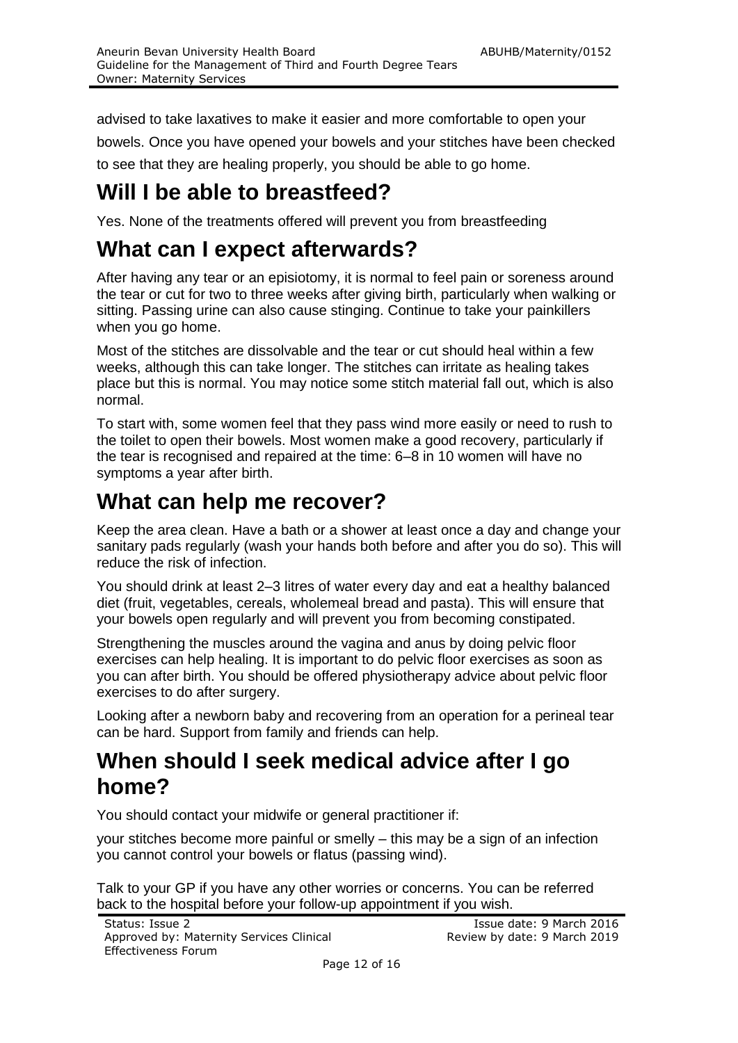advised to take laxatives to make it easier and more comfortable to open your bowels. Once you have opened your bowels and your stitches have been checked to see that they are healing properly, you should be able to go home.

### **Will I be able to breastfeed?**

Yes. None of the treatments offered will prevent you from breastfeeding

### **What can I expect afterwards?**

After having any tear or an episiotomy, it is normal to feel pain or soreness around the tear or cut for two to three weeks after giving birth, particularly when walking or sitting. Passing urine can also cause stinging. Continue to take your painkillers when you go home.

Most of the stitches are dissolvable and the tear or cut should heal within a few weeks, although this can take longer. The stitches can irritate as healing takes place but this is normal. You may notice some stitch material fall out, which is also normal.

To start with, some women feel that they pass wind more easily or need to rush to the toilet to open their bowels. Most women make a good recovery, particularly if the tear is recognised and repaired at the time: 6–8 in 10 women will have no symptoms a year after birth.

### **What can help me recover?**

Keep the area clean. Have a bath or a shower at least once a day and change your sanitary pads regularly (wash your hands both before and after you do so). This will reduce the risk of infection.

You should drink at least 2–3 litres of water every day and eat a healthy balanced diet (fruit, vegetables, cereals, wholemeal bread and pasta). This will ensure that your bowels open regularly and will prevent you from becoming constipated.

Strengthening the muscles around the vagina and anus by doing pelvic floor exercises can help healing. It is important to do pelvic floor exercises as soon as you can after birth. You should be offered physiotherapy advice about pelvic floor exercises to do after surgery.

Looking after a newborn baby and recovering from an operation for a perineal tear can be hard. Support from family and friends can help.

### **When should I seek medical advice after I go home?**

You should contact your midwife or general practitioner if:

your stitches become more painful or smelly – this may be a sign of an infection you cannot control your bowels or flatus (passing wind).

Talk to your GP if you have any other worries or concerns. You can be referred back to the hospital before your follow-up appointment if you wish.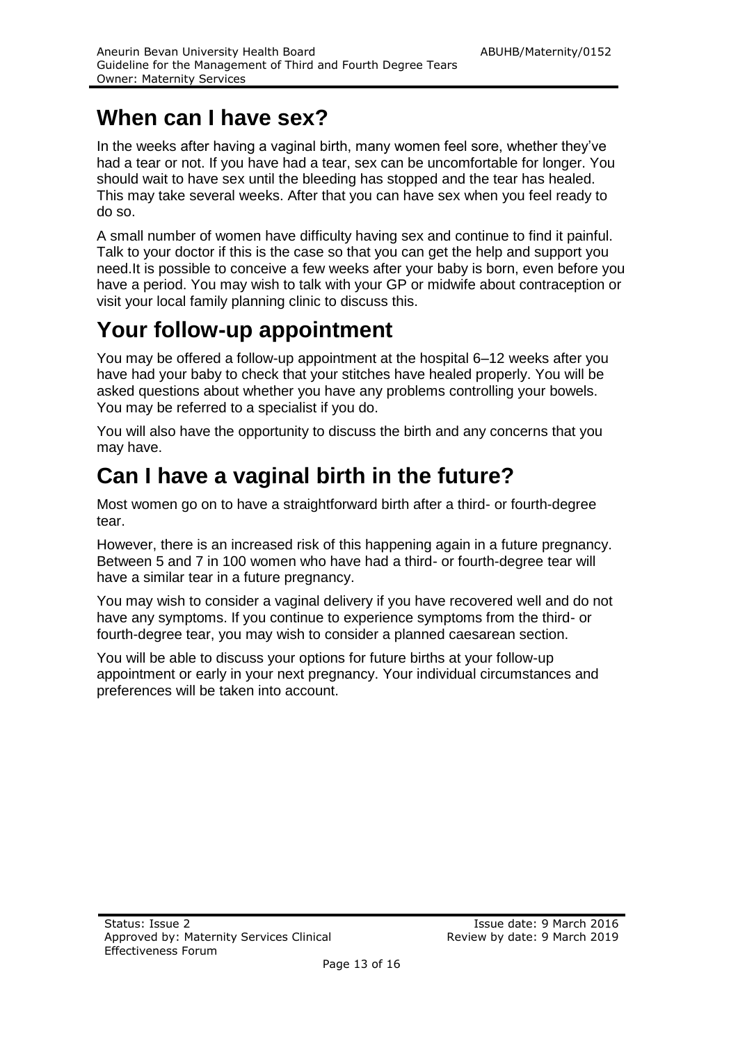### **When can I have sex?**

In the weeks after having a vaginal birth, many women feel sore, whether they've had a tear or not. If you have had a tear, sex can be uncomfortable for longer. You should wait to have sex until the bleeding has stopped and the tear has healed. This may take several weeks. After that you can have sex when you feel ready to do so.

A small number of women have difficulty having sex and continue to find it painful. Talk to your doctor if this is the case so that you can get the help and support you need.It is possible to conceive a few weeks after your baby is born, even before you have a period. You may wish to talk with your GP or midwife about contraception or visit your local family planning clinic to discuss this.

### **Your follow-up appointment**

You may be offered a follow-up appointment at the hospital 6–12 weeks after you have had your baby to check that your stitches have healed properly. You will be asked questions about whether you have any problems controlling your bowels. You may be referred to a specialist if you do.

You will also have the opportunity to discuss the birth and any concerns that you may have.

### **Can I have a vaginal birth in the future?**

Most women go on to have a straightforward birth after a third- or fourth-degree tear.

However, there is an increased risk of this happening again in a future pregnancy. Between 5 and 7 in 100 women who have had a third- or fourth-degree tear will have a similar tear in a future pregnancy.

You may wish to consider a vaginal delivery if you have recovered well and do not have any symptoms. If you continue to experience symptoms from the third- or fourth-degree tear, you may wish to consider a planned caesarean section.

You will be able to discuss your options for future births at your follow-up appointment or early in your next pregnancy. Your individual circumstances and preferences will be taken into account.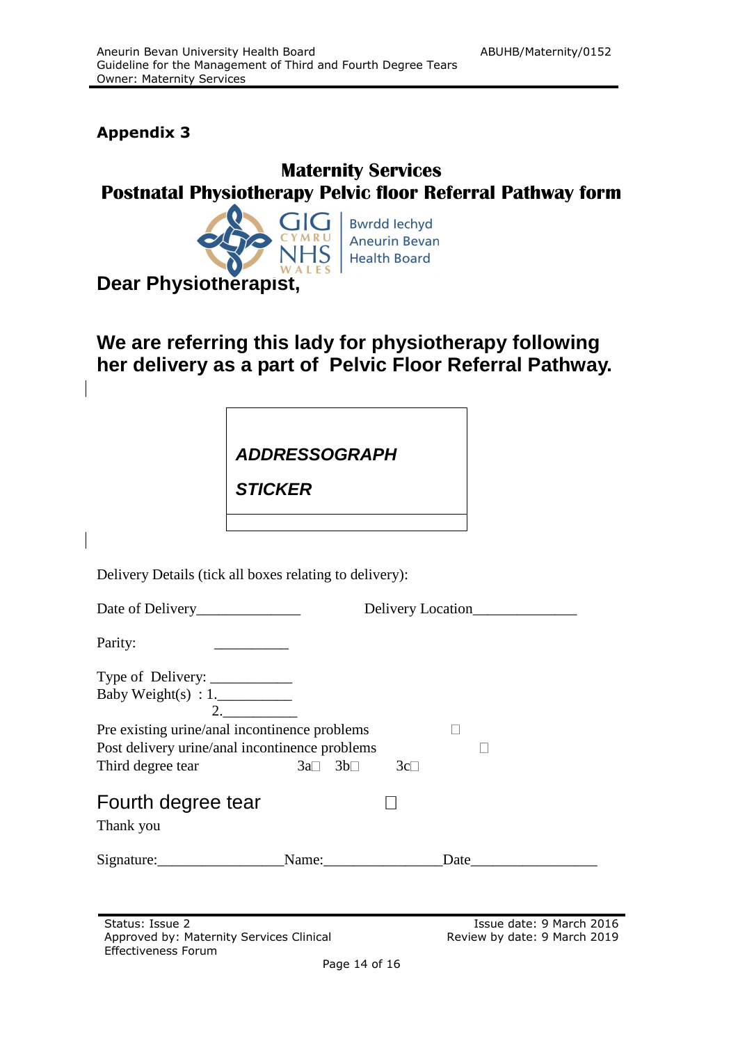#### **Appendix 3**

### **Maternity Services Postnatal Physiotherapy Pelvic floor Referral Pathway form**



**Bwrdd lechyd Aneurin Bevan Health Board** 

**Dear Physiotherapist,**

### **We are referring this lady for physiotherapy following her delivery as a part of Pelvic Floor Referral Pathway.**

*ADDRESSOGRAPH*

*STICKER STICKER*

Delivery Details (tick all boxes relating to delivery):

|                                                |                               | Delivery Location |  |  |
|------------------------------------------------|-------------------------------|-------------------|--|--|
| Parity:                                        |                               |                   |  |  |
| Type of Delivery: ___________                  |                               |                   |  |  |
| Baby Weight(s) : $1$ .                         |                               |                   |  |  |
| 2.                                             |                               |                   |  |  |
| Pre existing urine/anal incontinence problems  |                               |                   |  |  |
| Post delivery urine/anal incontinence problems |                               |                   |  |  |
| Third degree tear                              | $3a \Box 3b \Box$<br>$3c\Box$ |                   |  |  |
| Fourth degree tear<br>Thank you                |                               |                   |  |  |
|                                                |                               |                   |  |  |
| Signature:                                     | Name:                         | Date              |  |  |
|                                                |                               |                   |  |  |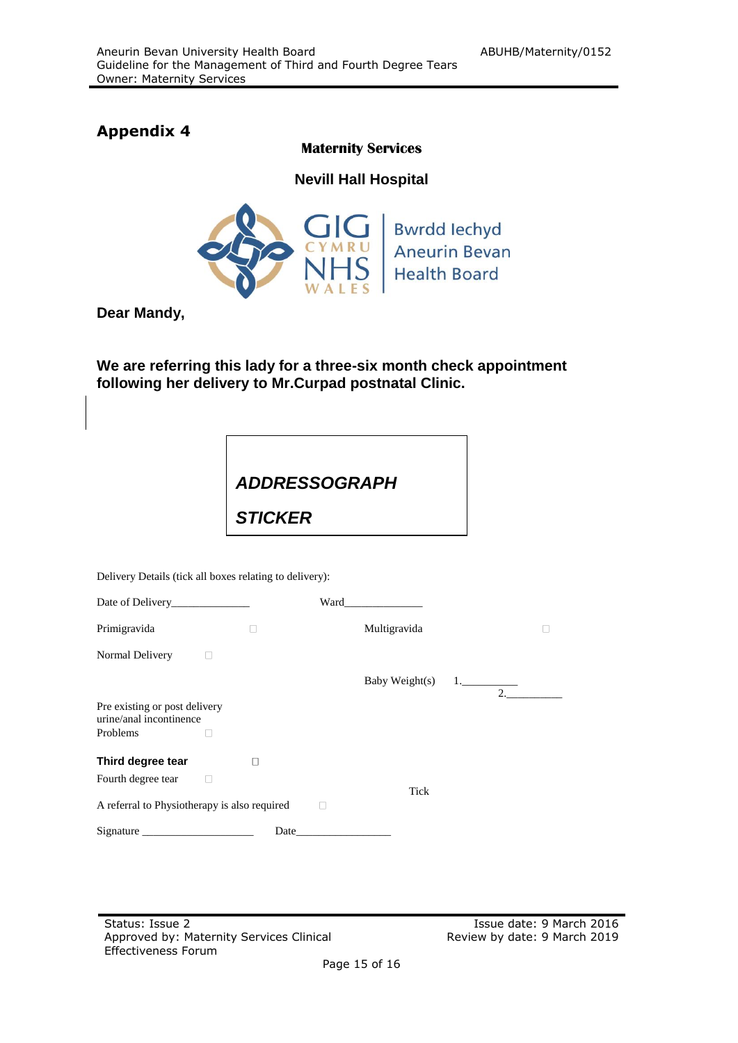### **Appendix 4**

#### **Maternity Services**

**Nevill Hall Hospital**



**Dear Mandy,**

**We are referring this lady for a three-six month check appointment following her delivery to Mr.Curpad postnatal Clinic.**



Delivery Details (tick all boxes relating to delivery):

|                                                          |              | Ward |                |    |  |
|----------------------------------------------------------|--------------|------|----------------|----|--|
| Primigravida                                             |              |      | Multigravida   |    |  |
| Normal Delivery                                          |              |      |                |    |  |
|                                                          |              |      | Baby Weight(s) | 2. |  |
| Pre existing or post delivery<br>urine/anal incontinence |              |      |                |    |  |
| Problems                                                 |              |      |                |    |  |
| Third degree tear                                        | $\mathbf{I}$ |      |                |    |  |
| Fourth degree tear                                       |              |      | Tick           |    |  |
| A referral to Physiotherapy is also required             |              |      |                |    |  |
| Signature                                                | Date         |      |                |    |  |